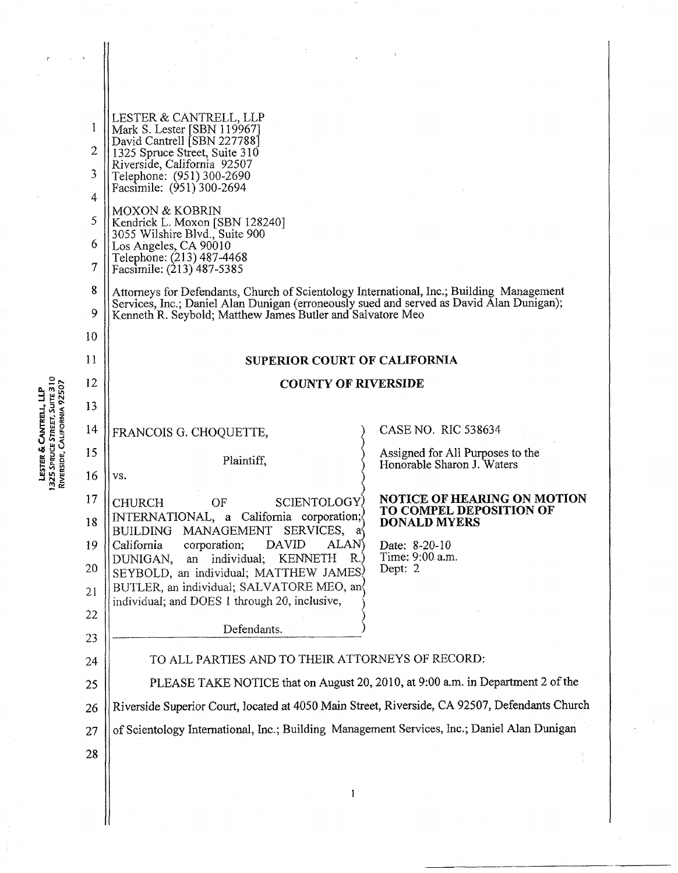| 1<br>$\overline{2}$<br>3<br>4<br>5<br>6<br>$\overline{\overline{7}}$<br>8 | LESTER & CANTRELL, LLP<br>Mark S. Lester [SBN 119967]<br>David Cantrell [SBN 227788]<br>1325 Spruce Street, Suite 310<br>Riverside, California 92507<br>Telephone: (951) 300-2690<br>Facsimile: (951) 300-2694<br><b>MOXON &amp; KOBRIN</b><br>Kendrick L. Moxon [SBN 128240]<br>3055 Wilshire Blvd., Suite 900<br>Los Angeles, CA 90010<br>Telephone: (213) 487-4468<br>Facsimile: (213) 487-5385<br>Attorneys for Defendants, Church of Scientology International, Inc.; Building Management |                                                                |
|---------------------------------------------------------------------------|------------------------------------------------------------------------------------------------------------------------------------------------------------------------------------------------------------------------------------------------------------------------------------------------------------------------------------------------------------------------------------------------------------------------------------------------------------------------------------------------|----------------------------------------------------------------|
| 9                                                                         | Services, Inc.; Daniel Alan Dunigan (erroneously sued and served as David Alan Dunigan);<br>Kenneth R. Seybold; Matthew James Butler and Salvatore Meo                                                                                                                                                                                                                                                                                                                                         |                                                                |
| 10                                                                        |                                                                                                                                                                                                                                                                                                                                                                                                                                                                                                |                                                                |
| 11                                                                        | <b>SUPERIOR COURT OF CALIFORNIA</b>                                                                                                                                                                                                                                                                                                                                                                                                                                                            |                                                                |
| 12<br>13                                                                  | <b>COUNTY OF RIVERSIDE</b>                                                                                                                                                                                                                                                                                                                                                                                                                                                                     |                                                                |
|                                                                           |                                                                                                                                                                                                                                                                                                                                                                                                                                                                                                |                                                                |
| 14                                                                        | FRANCOIS G. CHOQUETTE,                                                                                                                                                                                                                                                                                                                                                                                                                                                                         | CASE NO. RIC 538634                                            |
| 15<br>16                                                                  | Plaintiff,<br>VS.                                                                                                                                                                                                                                                                                                                                                                                                                                                                              | Assigned for All Purposes to the<br>Honorable Sharon J. Waters |
| 17                                                                        |                                                                                                                                                                                                                                                                                                                                                                                                                                                                                                | <b>NOTICE OF HEARING ON MOTION</b>                             |
| 18                                                                        | <b>CHURCH</b><br>SCIENTOLOGY)<br>OF<br>INTERNATIONAL, a California corporation;                                                                                                                                                                                                                                                                                                                                                                                                                | TO COMPEL DEPOSITION OF<br><b>DONALD MYERS</b>                 |
| 19                                                                        | MANAGEMENT SERVICES,<br><b>BUILDING</b><br>a١<br>ALAN)<br>California<br>DAVID<br>corporation;                                                                                                                                                                                                                                                                                                                                                                                                  | Date: 8-20-10                                                  |
| 20                                                                        | individual;<br><b>KENNETH</b><br>R.)<br>DUNIGAN,<br>an<br>SEYBOLD, an individual; MATTHEW JAMES?                                                                                                                                                                                                                                                                                                                                                                                               | Time: 9:00 a.m.<br>Dept: 2                                     |
| 21                                                                        | BUTLER, an individual; SALVATORE MEO, and<br>individual; and DOES 1 through 20, inclusive,                                                                                                                                                                                                                                                                                                                                                                                                     |                                                                |
| 22                                                                        |                                                                                                                                                                                                                                                                                                                                                                                                                                                                                                |                                                                |
| 23                                                                        | Defendants.                                                                                                                                                                                                                                                                                                                                                                                                                                                                                    |                                                                |
| 24                                                                        | TO ALL PARTIES AND TO THEIR ATTORNEYS OF RECORD:                                                                                                                                                                                                                                                                                                                                                                                                                                               |                                                                |
| 25                                                                        | PLEASE TAKE NOTICE that on August 20, 2010, at 9:00 a.m. in Department 2 of the                                                                                                                                                                                                                                                                                                                                                                                                                |                                                                |
| 26                                                                        | Riverside Superior Court, located at 4050 Main Street, Riverside, CA 92507, Defendants Church                                                                                                                                                                                                                                                                                                                                                                                                  |                                                                |
| 27                                                                        | of Scientology International, Inc.; Building Management Services, Inc.; Daniel Alan Dunigan                                                                                                                                                                                                                                                                                                                                                                                                    |                                                                |
| 28                                                                        |                                                                                                                                                                                                                                                                                                                                                                                                                                                                                                |                                                                |
|                                                                           | $\mathbf{1}$                                                                                                                                                                                                                                                                                                                                                                                                                                                                                   |                                                                |
|                                                                           |                                                                                                                                                                                                                                                                                                                                                                                                                                                                                                |                                                                |
|                                                                           |                                                                                                                                                                                                                                                                                                                                                                                                                                                                                                |                                                                |

**LESTER & CANTRELL, LLP**<br>1325 SPRUCE STREET, SUITE 310<br>RIVERSIDE, CALIFORNIA 92507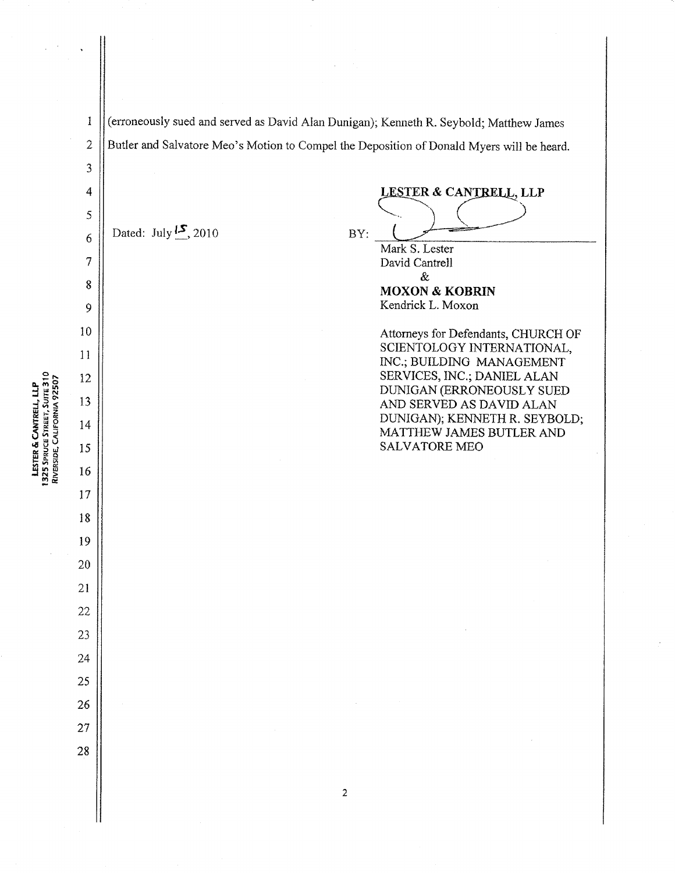$\mathbf{1}$  $\overline{2}$ 

3

4

5

6

 $\overline{\mathcal{I}}$ 

8

9

10

 $11$ 

12

13

14

15

16

17

18

19

20

21

22

23

24

25

26

27

28

**LESTER & CANTRELL, LLP**<br>1325 SPRUCE STREET, SUITE 310<br>RIVERSIDE, CALIFORNIA 92507

(erroneously sued and served as David Alan Dunigan); Kenneth R. Seybold; Matthew James Butler and Salvatore Meo's Motion to CompeI the Deposition of Donald Myers will be heard.

Dated: July  $\frac{15}{2}$ , 2010 BY:

Mark S. Lester David Cantrell &

**MOXON & KOBRIN** Kendrick L. Moxon

LESTER & CANTRELL, LLP

Attorneys for Defendants, CHURCH OF SCIENTOLOGY INTERNATIONAL, INC.; BUILDING MANAGEMENT SERVICES, INC,; DANIEL ALAN DUNIGAN (ERRONEOUSLY SUED AND SERVED AS DAVID ALAN DUNIGAN); KENNETH R. SEYBOLD; MATTHEW JAMES BUTLER AND SALVATORE ME0

 $\overline{c}$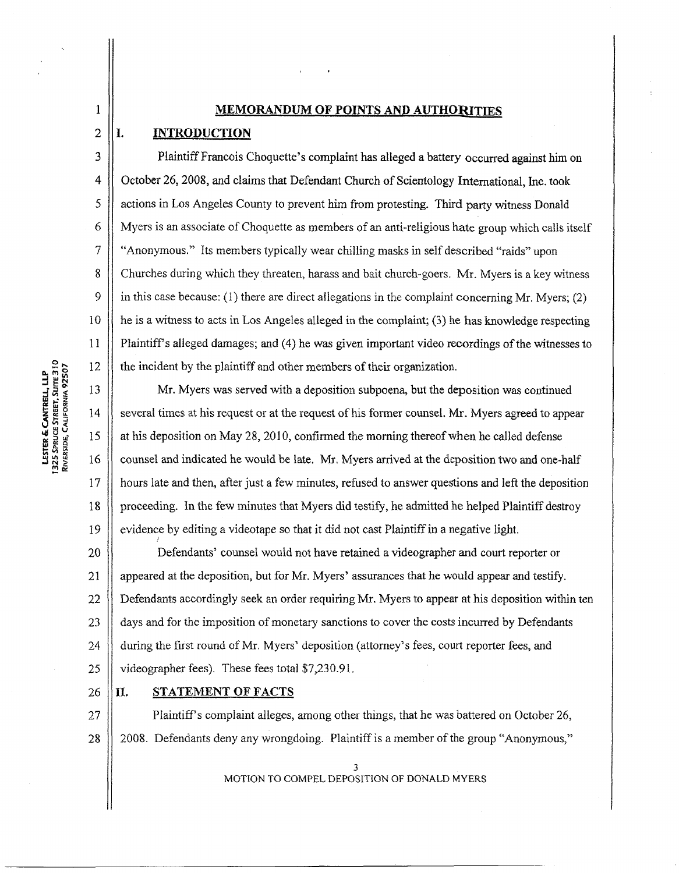### **MEMORANDUM OF POINTS AND AUTHORITIES**

### [. **INTRODUCTION**

 $\mathbf{1}$ 

 $\overline{2}$ 

3

 $\overline{4}$ 

5

6

 $\overline{7}$ 

8

9

10

11

12

13

14

15

16

17

18

19

Plaintiff Francois Choquette's complaint has alleged a battery occurred against him on October 26,2008, and claims that Defendant Church of Scientology International, Inc. took actions in Los Angeles County to prevent him from protesting. Third party witness Donald Myers is an associate of Choquette as members of an anti-religious hate group which calls itself "Anonymous." Its members typically wear chilling masks in self described "raids" upon Churches during which they threaten, harass and bait church-goers. Mr. Myers is a key witness in this case because:  $(1)$  there are direct allegations in the complaint concerning Mr. Myers:  $(2)$ he is a witness to acts in Los Angeles alleged in the complaint; **(3)** he has knowledge respecting Plaintiffs alleged damages; and (4) he was given important video recordings of the witnesses to the incident by the plaintiff **md** other members of their organization.

Mr. Myers was served with a deposition subpoena, but the deposition was continued several times at his request or at the request of his former counsel. Mr. Myers agreed to appear at his deposition on May 28,20 10, confirmed the morning thereof when he called defense counsel and indicated he would be late, Mr. Myers arrived at the deposition two and one-half hours late and then, after just a few minutes, refused to answer questions and left the deposition proceeding. In the few minutes that Myers did testify, he admitted he helped Plaintiff destroy evidence by editing a videotape so that it did not cast Plaintiff in a negative light.

20 Defendants' counsel would not have retained a videographer and court reporter or 21 appeared at the deposition, but for Mr. Myers' assurances that he would appear and testify. 22 Defendants accordingly seek **an** order requiring Mr. Myers to appear at his deposition within ten 23 days and for the imposition of monetary sanctions to cover the costs incurred by Defendants 24 during the first round of Mr. Myers' deposition (attorney's fees, court reporter fees, and 25 videographer fees). These fees total \$7,230.91.

#### **[I.** STATEMENT OF FACTS 26

1

27 Plaintiff's complaint alleges, among other things, that he was battered on October 26, 2008. Defendants deny any wrongdoing. Plaintiff is a member of the group "Anonymous," 28

> 3 MOTION **TO** COMPEL DEPOSITION OF **DONALD MYERS**

LESTER & CANTRELL, LLP<br>1325 SPRUCE STREET, SUITE 310<br>RIVERSIDE, CALIFORNIA 92507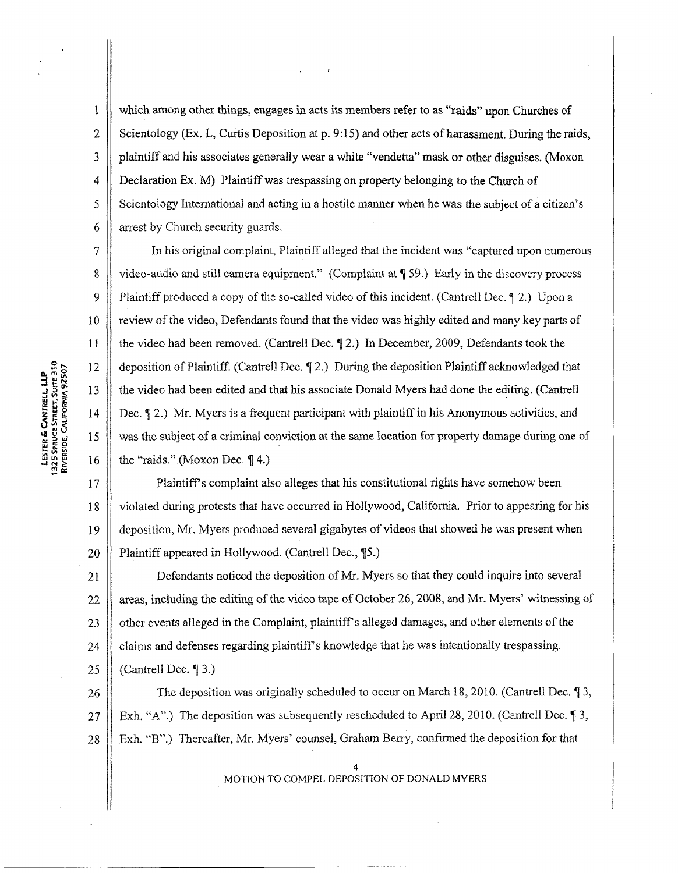which among other things, engages in acts its members refer to as "raids" upon Churches of Scientology (Ex. L, Curtis Deposition at p. **9:15)** and other acts of harassment. During the raids, plaintiff and his associates generally wear a white "vendetta" mask or other disguises. (Moxon Declaration Ex. M) Plaintiff was trespassing on property belonging to the Church of Scientology International and acting in a hostile manner when he was the subject of a citizen's arrest by Church security guards.

In his original complaint, Plaintiff alIeged that the incident was "captured upon numerous video-audio and still camera equipment." (Complaint at **7** 59.) Early in the discovery process Plaintiff produced a copy of the so-called video of this incident. (Cantrell Dec.  $\P$ 2.) Upon a review of the video, Defendants found that the video was highly edited and many key parts of the video had been removed. (Cantrell **Dec.** q12.) In December, 2009, Defendants took the deposition of Plaintiff, (Cantrell Dec. 72.) During the deposition Plaintiff acknowledged that the video had been edited and that his associate Donald Myers had done tbe editing. (Cantrell Dec.  $\sqrt{2}$ .) Mr. Myers is a frequent participant with plaintiff in his Anonymous activities, and was the subject of a criminal conviction at the same location for property damage during one of the "raids." (Moxon Dec. *7* 4.)

17 Plaintiff's complaint also alleges that his constitutional rights have somehow been 18 violated during protests that have occurred in Hollywood, California. Prior to appearing for his deposition, Mr. Myers produced several gigabytes of videos that showed he was present when 19 Plaintiff appeared in Hollywood. (Cantre11 Dec., **75.)**  20

Defendants noticed the deposition of Mr. Myers so that they could inquire into several  $21$ 22 areas, including the editing of the video tape of October 26,2008, and Mr. Myers' witnessing of other events alleged in the Complaint, plaintiffs alleged damages, and other elements of the 23 claims and defenses regarding plaintiff's knowledge that he was intentionally trespassing. 24 (Cantrelf Dec. 1 **3.)**  25

The deposition was originally scheduled to occur on March 18,2010. (Cantrell Dec. **9** 3, 26 Exh. "A".) The deposition was subsequently rescheduled to April 28, 2010. (Cantrell Dec.  $\sqrt{9}$  3, 27 28 Exh. "B".) Thereafter, Mr. Myers' counsel, Graham Berry, confirmed the deposition for that

> 4 MOTION TO COMPEL DEPOSITION OF DONALD MYERS

**LESTER & CANTRELL, LLP**<br>1325 SPRUCE STREET, SUITE 310<br>RIVERSIDE, CALIFORNIA 92507

 $\mathbf{1}$ 

 $\overline{2}$ 

 $\overline{3}$ 

4

5

6

 $\overline{7}$ 

 $8\,$ 

9

 $10$ 

11

12

13

14

15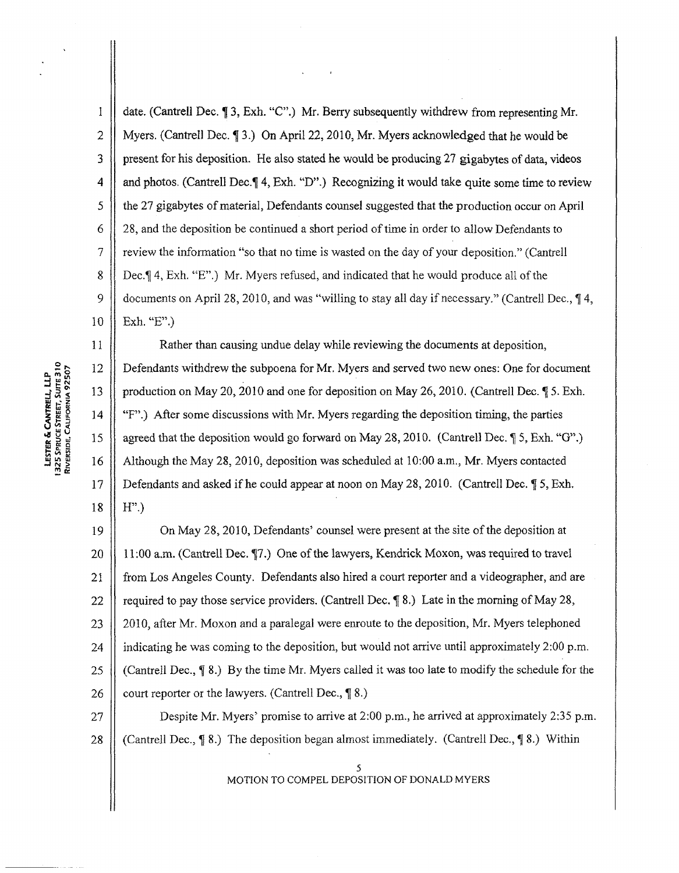date. (Cantrell Dec, **7** 3, **Exh. "C".)** Mr. Berry subsequently withdrew from representing Mr. Myers. (Cantrell Dec.  $\P$ 3.) On April 22, 2010, Mr. Myers acknowledged that he would be present for his deposition. He also stated he would be producing 27 gigabytes of data, videos and photos. (Cantrell Dec. $\P$  4, Exh. "D".) Recognizing it would take quite some time to review the 27 gigabytes of material, Defendants counsel suggested that the production occur on April 28, and the deposition be continued a short period of time in order to allow Defendants to review the information "so that no time is wasted on the day of your deposition." (Cantrell Dec.7 4, Exh. "E".) Mr. Myers refused, and indicated that he would produce all of the documents on April 28,2010, and was "willing to stay all day if necessary." (Cantrell Dec., *7* 4, Exh. "E".)

Rather than causing undue delay while reviewing the documents at deposition, Defendants withdrew the subpoena for Mr. Myers and served two new ones: One for document production on May 20,2010 and one for deposition on May 26,2010. (Cantreil Dec. **7** 5. Exh. "F".) After some discussions with Mr. Myers regarding the deposition timing, the parties agreed that the deposition would go forward on May 28, 2010. (Cantrell Dec.  $\oint 5$ , Exh. "G".) Although the May 28, 2010, deposition was scheduled at 10:OO a.m., Mr. Myers contacted Defendants and asked if he could appear at noon on May 28, 2010. (Cantrell Dec.  $$5, Exh.$ )  $H$ ".)

19 On May 28,20 10, Defendants' counsel were present at the site of the deposition at  $20$ 1l:OO a.m. (Cmtrell Dec. 77.) One of the lawyers, Kendrick Moxon, was required to travel 21 from Los Angeles County. Defendants also hired a court reporter and a videographer, and are 22 required to pay those service providers. (Cantrell Dec.  $\P$ 8.) Late in the morning of May 28, 23 2010, after Mr. Moxon and a paralegal were enroute to the deposition, Mr. Myers telephoned 24 indicating he was coming to the deposition, but would not arrive until approximately 2:00 p.m. 25 (Cantrell Dec., *7* 8.) By the time Mr. Myers called it was too late to modify the schedule for the 26 court reporter or the lawyers. (Cantrell Dec., **1 8.)** 

Despite Mr. Myers' promise to arrive at 2:00 p.m., he arrived at approximately *2:35* p.m. 27 (Cantrell Dec., **1** 8.) The deposition began almost immediately. (Cantrell Dec., **1** 8.) Within 28

> *5*  MOTlON TO COMPEL DEPOSITION OF DONALD MYERS

LESTER & CANTRELL, LLP<br>325 SPRUCE STREET, SUITE 310<br>RIVERSIDE, CALIFORNIA 92507

 $\mathbf{I}$ 

 $\overline{2}$ 

3

 $\overline{4}$ 

5

6

 $\overline{7}$ 

8  $\ddot{Q}$ 

 $10$ 

11

12

13

14

15

16

 $17$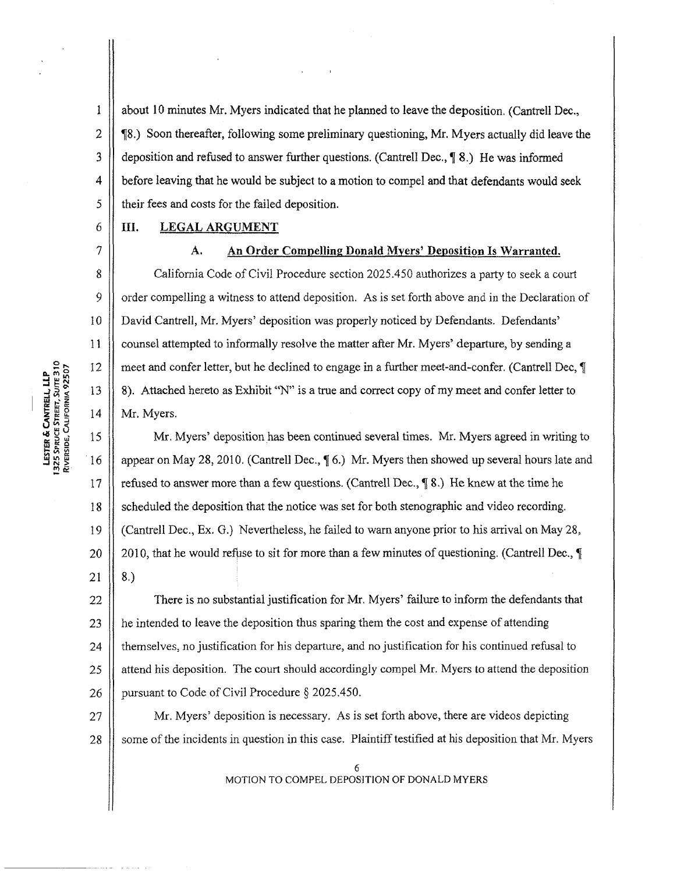about 10 minutes Mr. Myers indicated that he planned to leave the deposition. (Cantrell **Dec., 78.)** Soon thereafter, following some preliminary questioning, Mr. Myers actually did leave the deposition and refused to answer further questions. (Cantrell Dec.,  $\lceil 8 \rceil$ ). He was informed before leaving that he wouid be subject to a motion to compel and that defendants would seek their fees and costs for the failed deposition.

### **PII.** LEGAL ARGUMENT

# A. An Order Compelling Donald Myers' Deposition Is Warranted. California Code of Civil Procedure section 2025.450 authorizes a party to seek a court order compelling a witness to attend deposition, As is set forth above and in the Declaration of David Cantrell, Mr. Myers' deposition was properly noticed by Defendants. Defendants' counsel attempted to informally resolve the matter after Mr. Myers' departure, by sending a meet and confer letter, but he declined to engage in a further meet-and-confer, (Cantrelf Dec, 8). Attached hereto as Exhibit "N" is a true and correct copy of my meet and confer letter to Mr. Myers.

15 Mr. Myers' deposition has been continued several times. Mr. Myers agreed in writing to 16 appear on May 28, 2010. (Cantrell Dec.,  $\P$  6.) Mr. Myers then showed up several hours late and 17 / I refused to answer more than a few questions. (Cantrell Dec., *7* 8.) He knew at the time he 18 11 scheduled the deposition that the notice was set for both stenographic and video recording. 19 / / (Cantrell Dec., Ex. G.) Nevertheless, he failed to warn anyone prior to his arrival on May 28, 20 || 2010, that he would refuse to sit for more than a few minutes of questioning. (Cantrell Dec., ¶ 21 8.)

23 || he intended to leave the deposition thus sparing them the cost and expense of attending 22 24 /I themselves, no justification for his departure, and no justification for his continued refusal to There is no substantial justification for Mr. Myers' failure to inform the defendants that 25 | attend his deposition. The court should accordingly compel Mr. Myers to attend the deposition 26 *| pursuant to Code of Civil Procedure § 2025.450.* 

27 | Mr. Myers' deposition is necessary. As is set forth above, there are videos depicting 28 | some of the incidents in question in this case. Plaintiff testified at his deposition that Mr. Myers

> 6 MOTION TO COMPEL DEPOSITION OF DONALD MYERS

**LESTER & CANTRELL, LLP**<br>1325 SPRUCE STREET, SUITE 310<br>RIVERSIDE, CALIFORNIA 92507

1

2

**3** 

4

5

6

*7* 

8

9

10

I 1

 $12$ 

13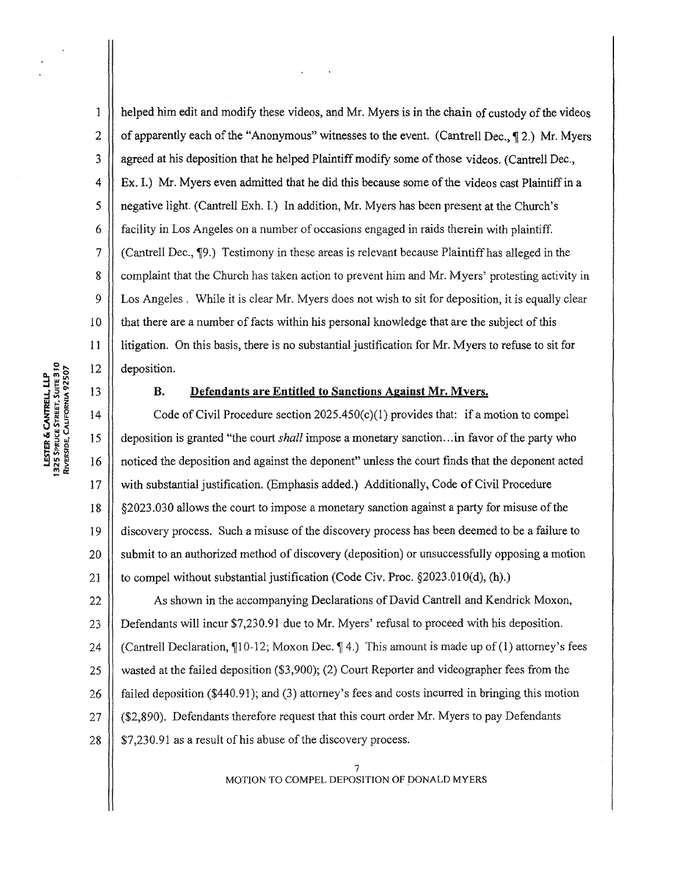LESTER & CANTRELL, LLP<br>1325 SPRUCE STREET, SUITE 310<br>RIVERSIDE, CALIFORNIA 92507

1

 $\overline{2}$ 

 $\overline{\mathbf{3}}$ 

 $\overline{4}$ 

5

6

 $\overline{7}$ 

8

9

10

 $11$ 

 $12$ 

13

helped him edit and modify these videos, and Mr. Myers is in the chain of custody of the videos of apparently each of the "Anonymous" witnesses to the event. (Cantre11 Dec., *7* 2.) Mr. Myers agreed at his deposition that he helped Plaintiff modify some of those videos. (Cantrell Dec., Ex. I.) Mr. Myers even admitted that he did this because some of **the** videos cast Plaintiff in a negative light. (Cantrell Exh. I.) In addition, Mr. Myers has been present at the Church's facility in Los Angeles on a number of occasions engaged in raids therein with plaintiff. (Cantrell Dec., 79.) Testimony in these areas is relevant because Plaintiff has alleged in the complaint that the Church has taken action to prevent him and Mr. Myers' protesting activity in Los Angeles . While it is clear Mr. Myers does not wish to sit for deposition, it is equally clear that there are a number of facts within his personal knowledge that are the subject of this litigation. On this basis, there is no substantial justification for Mr. Myers to refuse to sit for deposition.

### **B. Defendants are Entitled to Sanctions Against Mr. Myers.**

 $14$ Code of Civil Procedure section  $2025.450(c)(1)$  provides that: if a motion to compel 15 deposition is granted "the court *shall* impose a monetary sanction. ..in favor of the party who 16 noticed the deposition and against the deponent" unless the court finds that the deponent acted 17 with substantial justification. (Emphasis added.) Additionally, Code of Civil Procedure 18 52023.030 allows the court to impose a monetary sanction against a party for misuse of the discovery process. Such a misuse of the discovery process has been deemed to be a failure to 19 20 submit to an authorized method of discovery (deposition) or unsuccessfully opposing a motion 21 to compel without substantial justification (Code Civ. Proc. §2023.010(d), (h).)

 $22$ As shown in the accompanying Declarations of David Cantrell and Kendrick Moxon, 23 Defendants will incur \$7,230.91 due to Mr. Myers' refusal to proceed with his deposition. 24 (Cantrell Declaration,  $\P$ 10-12; Moxon Dec.  $\P$ 4.) This amount is made up of (1) attorney's fees 25 wasted at the failed deposition (\$3,900); (2) Court Reporter and videographer fees from the failed deposition (\$440.91); and (3) attorney's fees and costs incurred in bringing this motion 26 27 (\$2,890). Defendants therefore request that this court order Mr. Myers to pay Defendants \$7,230.91 as a result of his abuse of the discovery process. 28

> 7 MOTION TO COMPEL DEPOSITION OF DONALD MYERS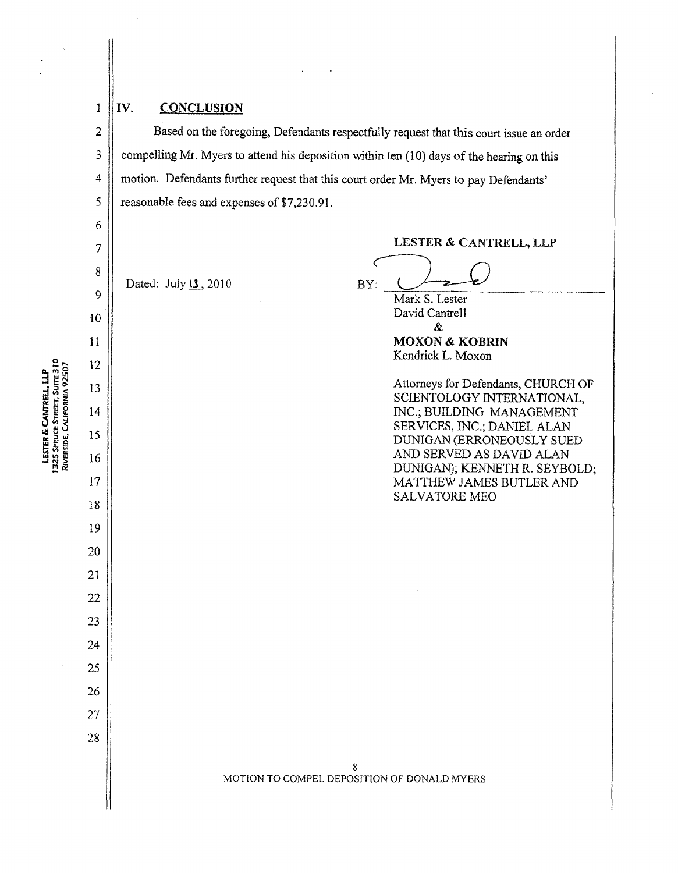## $\mathbf{1}$  $\overline{2}$

 $\overline{3}$ 

 $\overline{4}$ 

5

6

 $\boldsymbol{7}$ 

8

9

10

11

 $12$ 

13

14

15

16

17

18

19

20

21

22

23

 $24$ 

25

26

27

28

### **IV. CONCLUSION**

Based on the foregoing, Defendants respectfully request that this court issue an order compelling Mr. Myers to attend his deposition within ten (10) days of the hearing on this motion. Defendants further request that this court order Mr. Myers to pay Defendants' reasonable fees and expenses of \$7,230.9 I.

Dated: July 13, 2010

**LESTER** & **CANTRBLL, LLP** 

LESTER & CANTRELL, LLP<br>BY: <u>Mark S. Lester</u>

Mark S. Lester David Cantrell &

**MOXON** & **MOBRlN**  Kendrick L. Moxon

Attorneys for Defendants, CHURCH OF SCIENTOLOGY INTERNATIONAL, INC.; BUILDING MANAGEMENT SERVICES, INC.; DANIEL ALAN DUNIGAN (ERRONEOUSLY SUED AND SERVED AS DAVID ALAN DUNIGAN); KENNETH R. SEYBOLD; MATTHEW JAMES BUTLER AND SALVATORE ME0

### 8 MOTION TO COMPEL DEPOSITION OF DONALD MYERS

LESTER & CANTRELL, LLP<br>1325 SPRUCE STREET, SUITE 310<br>RIVERSIDE, CALIFORNIA 92507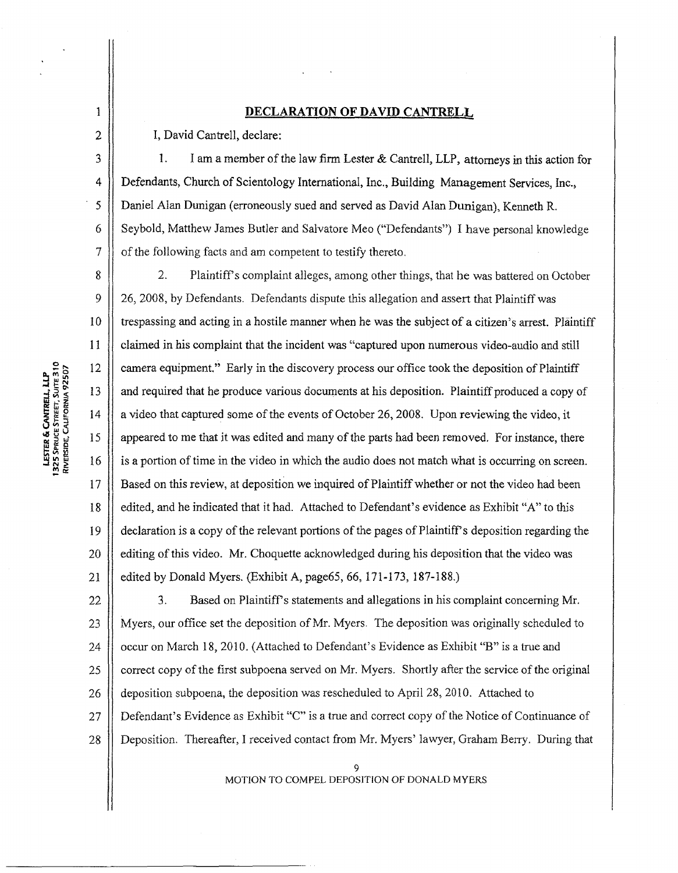### **DECLARATION OF DAVID CANTRELL**

I, David Cantrell, declare:

1. I am a member of the law **firm** Lester & Cantrell, LLP, attorneys **in** this action for Defendants, Church of Scientology International, Inc., Building Management Services, Inc., DanieI **Alan** Dunigan (erroneously sued and served as David Alan Dunigan), Kenneth R. Seybold, Matthew James Butler and Salvatore Meo ("Defendants") I have personal knowledge of the following facts and am competent to testify thereto.

8 2. Plaintiff's complaint alleges, among other things, that he was battered on October  $\overline{Q}$ 26, 2008, by Defendants. Defendants dispute this allegation and assert that Plaintiff was 10 trespassing and acting in a hostile manner when he was the subject of a citizen's arrest. Plaintiff claimed in his complaint that the incident was "captured upon numerous video-audio and still 12 camera equipment." Early in the discovery process our office took the deposition of Plaintiff and required that he produce various documents at his deposition. Plaintiff produced a copy of 14 a video that captured some of the events of October 26,2008. Upon reviewing the video, it 15 appeared to me that it was edited and many of the parts had been removed. For instance, there 16 is a portion of time in the video in which the audio does not match what is occurring on screen,  $17$ Based on this review, at deposition we inquired of Plaintiff whether or not the video had been 18 edited, and he indicated that it had. Attached to Defendant's evidence as Exhibit "A" to this 19 declaration is a copy of the relevant portions of the pages of Plaintiff's deposition regarding the 20 editing of this video. Mr. Choquetre acknowledged during his deposition that the video was edited by Donald Myers. (Exhibit A, page65, 66, 171-173, 187-188.)

22 **3.** Based on Plaintiffs statements and allegations in his complaint concerning Mr. Myers, our office set the deposition of Mr. Myers. The deposition was originally scheduled to 23 occur on March 18, 2010. (Attached to Defendant's Evidence as Exhibit "B" is a true and 24 25 correct copy of the first subpoena served on Mr. Myers. Shortly after the service of the original deposition subpoena, the deposition was rescheduled to April 28,2010. Attached to 26 27 Defendant's Evidence as Exhibit "C" is a true and correct copy of the Notice of Continuance of Deposition. Thereafter, I received contact from Mr. Myers' lawyer, Graham Berry. During that 28

> 9 MOTION TO COMPEL DEPOSlTlON OF DONALD **MYERS**

**LESTER & CANTRELL, LLP**<br>1325 SPRUCE STREET, SUITE 310<br>RIVERSIDE, CALIFORNIA 92507

 $\mathbf{1}$  $\overline{2}$ 

 $\mathbf{3}$ 

 $\boldsymbol{4}$ 

5

6

7

11

13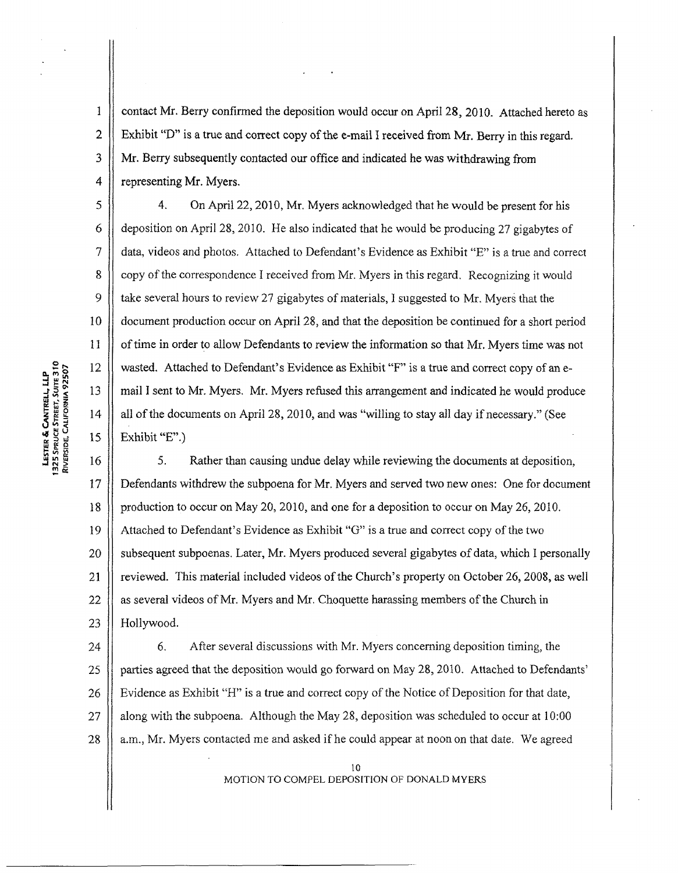contact Mr. Berry confirmed the deposition would occur on April 28,2010. Attached hereto as Exhibit "D" is a true and correct copy of the e-mail **f** received from Mr, Berry in this regard. Mr. Berry subsequently contacted our office and indicated he was withdrawing from representing Mr. Myers.

4. On April 22,2010, Mr. Myers acknowledged that he would be present for his deposition on April 28, 2010. He also indicated that he would be producing 27 gigabytes of data, videos and photos. Attached to Defendant's Evidence as Exhibit "E" is a true and correct copy of the correspondence I received from Mr. Myers in this regard. Recognizing it would take several hours to review 27 gigabytes of materials, I suggested to Mr. Myers that the document production occur on April 28, and that the deposition be continued for a short period of time in order to allow Defendants to review the information so that Mr. Myers time was not wasted. Attached to Defendant's Evidence as Exhibit **"F"** is a true and correct copy of an email I sent to Mr. Myers. Mr. Myers refused this arrangement and indicated he would produce all of the documents on April 28, 2010, and was "willing to stay all day if necessary." (See Exhibit "E".)

**5.** Rather than causing undue delay while reviewing the documents at deposition, Defendants withdrew the subpoena for Mr. Myers and served two new ones: One for document 18 1) production to occur on May 20,2010, and one for a deposition to occur on May 26,2010. 19 Attached to Defendant's Evidence as Exhibit "G" is a true and correct copy of the two 20 subsequent subpoenas. Later, Mr. Myers produced several gigabytes of data, which I personally 1) reviewed. This material included videos of the Church's property on October 26,2008, as well 21 22 as several videos of Mr. Myers and Mr. Choquette harassing members of the Church in 23 Hollywood.

*6.* After several discussions with Mr. Myers concerning deposition timing, the 24 parties agreed that the deposition would go forward on May 28,2010. Attached to Defendants' 25 26 Evidence as Exhibit "H" is a true and correct copy of the Notice of Deposition for that date,  $27$ along with the subpoena. Although the May 28, deposition was scheduled to occur at  $10:00$ 28 a.m., Mr. Myers contacted me and asked if he could appear at noon on that date. We agreed

> 10 MOTION TO COMPEL DEPOSITION OF DONALD MYERS

**2**<br> **12**<br> **13**<br> **13**<br> **13**<br> **13**<br> **13 14**<br>3 the set of 14 **d,** 9 <sup>15</sup>p\$ **WISSENS** 16

**1** 

2

3

4

*5* 

*6* 

7

8

9

10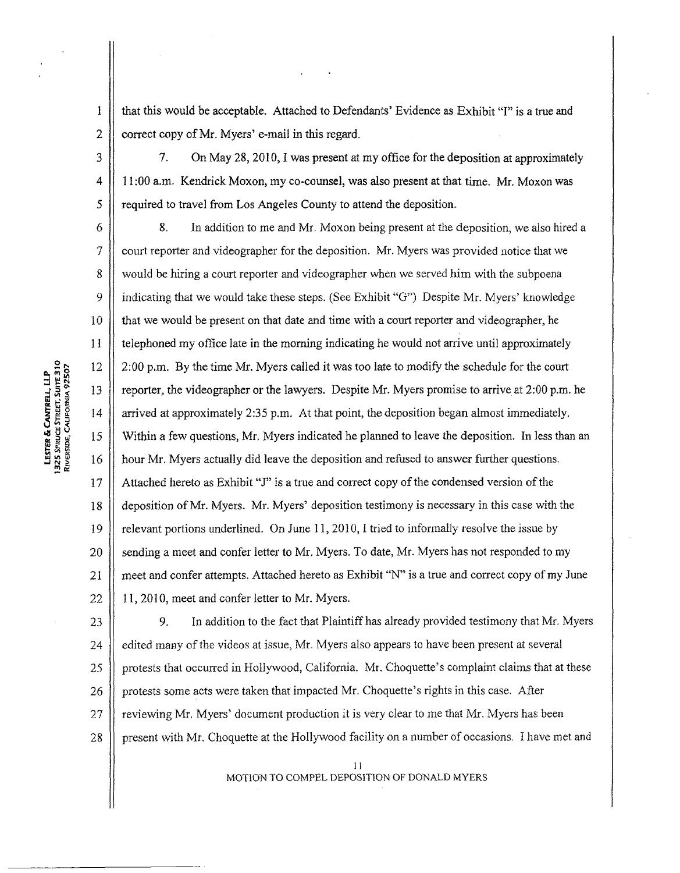2  $\parallel$  correct copy of Mr. Myers' e-mail in this regard. that this would be acceptable. Attached to Defendants' Evidence as Exhibit "I" is a true and

11 **7.** On May 28,2010, I was present at my office for the deposition **at** approximately 1 I :00 a.m. Kendrick Moxon, my co-counsel, was also present at that time. Mr. Moxon was required to travel from Los Angeles County to attend the deposition.

**8.** In addition to me and Mr. Moxon being present at the deposition, we also hired a court reporter and videographer for the deposition. Mr. Myers was provided notice that we would be hiring a court reporter and videographer when we served him with the subpoena indicating that we would take these steps. (See Exhibit " $G$ ") Despite Mr. Myers' knowledge that we would be present on that date and time with a conrt reporter and videographer, he telephoned my office late in the morning indicating he would not arrive until approximately 2:00 p.m. By the time Mr. Myers called it was too late to modify the schedule for the court reporter, the videographer or the lawyers. Despite Mr. Myers promise to arrive at 2:00 p.m. he arrived at approximately 2:35 **p.m.** At that point, the deposition began almost immediately. Within a few questions, Mr. Myers indicated he planned to leave the deposition. In less than an hour Mr. Myers actually did leave the deposition and refused to answer further questions. Attached hereto as Exhibit "J" is a true and correct copy of the condensed version of the deposition of **Mr.** Myers. Mr. Myers' deposition testimony is necessary in this case with the relevant portions underlined. On June 11, 2010, I tried to informally resolve the issue by sending a meet and confer letter to Mr. Myers. To date, Mr. Myers has not responded to my meet and confer attempts. Attached hereto as Exhibit "N" is a true and correct copy of my June 11, 2010, meet and confer letter to Mr. Myers.

23 9. In addition to the fact that Plaintiff has already provided testimony that Mr. Myers 24 | edited many of the videos at issue, Mr. Myers also appears to have been present at several 25 | | protests that occurred in Hollywood, California. Mr. Choquette's complaint claims that at these 26 protests some acts were taken that impacted Mr. Choquette's rights in this case. After reviewing Mr. Myers' document production it is very clear to me that Mr. Myers has been 27 28 I1 present with Mr. Choquette at the Hollywood facility on a number of occasions. **f** have met and

> I **<sup>I</sup>** MOTION TO COMPEL DEPOSITION OF DONALD MYERS

LESTER & CANTRELL, LLP<br>1325 SPRUCE STREET, SUITE 310<br>RIVERSIDE, CALFORNIA 92507

19

18

20

21

22

I

3

 $\overline{4}$ 

 $\mathcal{S}_{\mathcal{S}}$ 

6

 $\overline{7}$ 

8

9

10

11

12

13

14

15

16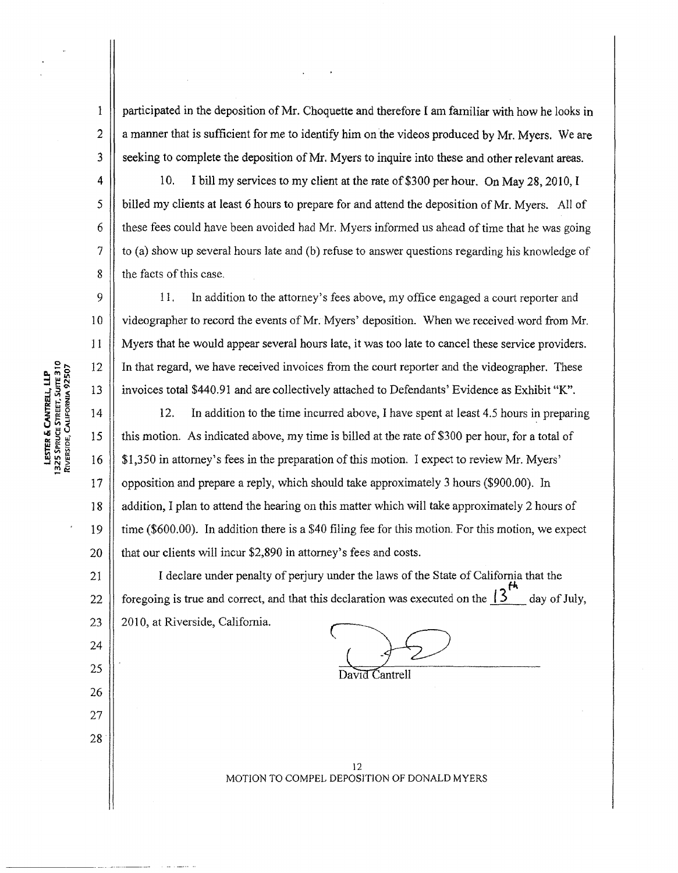participated in the deposition of Mr. Choquette and therefore I am familiar with how he looks in a manner that is sufficient for me to identify him on the videos produced by Mr. Myers. We are seeking to complete the deposition of Mr. Myers to inquire into these and other relevant areas.

10. I bill my services to my client at the rate of \$300 per hour. On May 28,2010,I billed my clients at least 6 hours to prepare for and attend the deposition of Mr. Myers, **A11** of these fees could have been avoided had Mr. Myers informed us ahead of time that he was going to (a) show up several hours late and (b) refuse to answer questions regarding his knowledge of the facts of this case,

I I. In addition to the attorney's fees above, my office engaged a court reporter and videographer to record the events of Mr. Myers' deposition. When we received word from Mr. Myers that he would appear several hours late, it was too late to cancel these service providers. In that regard, we have received invoices fiom the court reporter and the videographer. These invoices total \$440.91 and are collectively attached to Defendants' Evidence as Exhibit "K".

12, In addition to the time incurred above, I have spent at least 4.5 hours in preparing this motion. As indicated above, my time is billed at the rate of \$300 per hour, for a total of \$1,350 in attorney's fees in the preparation of this motion. I expect to review Mr. Myers' opposition and prepare a reply, which should take approximately 3 hours (\$900.00). In addition, I plan to attend the hearing on this matter which will take approximately 2 hours of time (\$600.00). In addition there is a \$40 filing fee for this motion. For this motion, we expect that our clients will incur \$2,890 in attorney's fees and costs.

I declare under penalty of perjury under the laws of the State of California that the 21 .....<br>f<sup>4</sup> foregoing is true and correct, and that this declaration was executed on the  $\frac{13}{4}$  day of July, 22  $23$ 20 10, at Riverside, California.

David Cantrell

12 MOTION TO COMPEL DEPOSfTlON OF DONALD MYERS

**2006**<br>1325 Spruce Street, Suite 310<br>Riverside, California 92507 LESTER & CANTRELL, LLP

 $\mathbf{1}$ 

 $\overline{2}$ 

 $\overline{3}$ 

4

5

6

7

8

9

 $10$ 

11

12

13

 $14$ 

15

16

 $17$ 

18

19

20

24

25

26

 $27$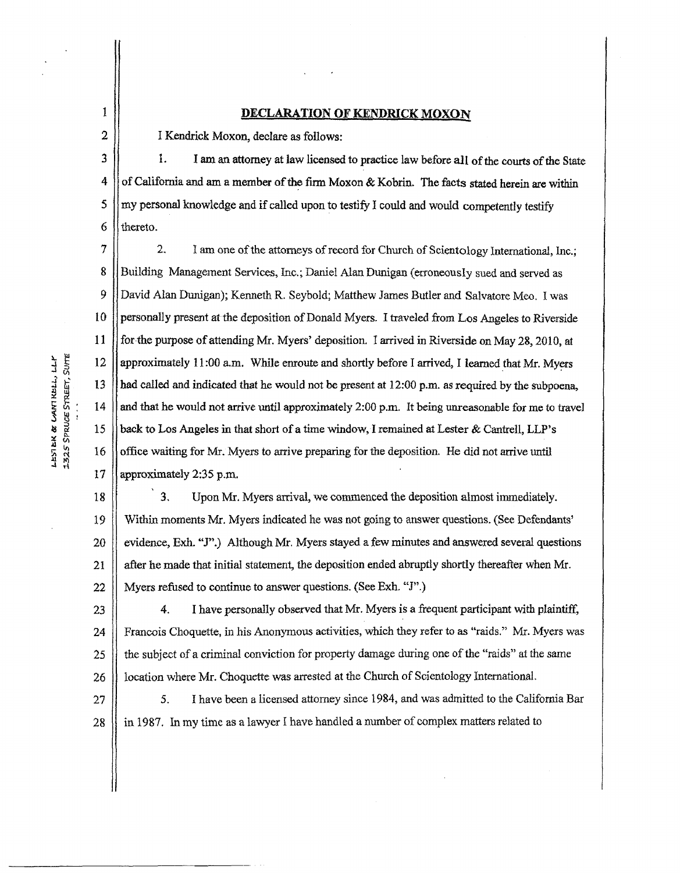### 1 **DECLARATION OF KENDRICK MOXON**

I Kendrick **Moxon,** declare as follows:

I. **I am an attorney** at **law** licensed to practice law **before all** of the **courts of the State**  of California and am a member af **the** fm **Moxon** & **Kobrin. The facts stated herein ate** within my personal knowledge and if called upon to testify I could and would competently testify thereto.

**2.** 1 am one of the attorneys of record for Church of Scientology lntematjond, Inc.; Building Management Services, Inc.; Daniel Alan Dunigan (erroneously sued and served as David Alan Dunigan); Kenneth R. Seybold; Matthew James Butler and **Salvatore** Meo. I was personally present at the deposition of Donald **Myers.** I traveled **from Eas Angeles** to **Riverside**  for the pupose of attending **Mr.** Myers' deposition. I arrived in Riverside on May **28,2010,** at **approximately 1 1 :00 am. Whils** enroute and shortly before I arrived, I learned **that** Mr. Myers had called and indicated **that** he **would** not be present **at** 12:00 **p.m.** as required by the subpoena, and that he would not arrive until **approximately** 2:00 **p.m. It being unreasonable** for **me** to travel **back to** Los Angeles in that short of a time window, I remained **at** Lester & Cantrell, **LLP's office** waiting for Mr. Myers to **anrive** preparing for **the** deposition. He did not arrive until approximately **2:35** p.m.

**3,** Upon Mr. Myers arrival, we commenced the deposition almost immediately. Within moments Mr. Myers indicated he **was** not going to answer questions. *(See* Defendants' evidence, **EA1. "J".)** Although Mr. **Myers stayed a few** minutes and answered **several questions after** he made that initid statement, the deposition ended abruptly **shortly thereafter when Mr. Myers** refused to continue to answer questions. (See **Exh. "J".)** 

23 24 *25*  26 4. **I have** personally observed **that** Mr. Myers is a frequent **participant with** plaintiff, **Francois** Choquette, in **his** Anonymous activities, which they refer to **as** "raids." Mr. Myers was the subject of a criminal conviction fox property damage during one of the "raids" at the same location where Mr. Choquette was arrested at the Church of Scientology International.

**5. f** have been a licensed attorney since 1984, and was admitted to the California Bar in **1987.** In my time as a lawyer I have handled **a** nwnber of complex matters related to

 $\frac{3}{4} + \frac{9}{5} = 12$ 5: ~1 : **14 sg:**   $\frac{1}{3}$   $\frac{1}{3}$   $\frac{1}{3}$   $\frac{1}{3}$   $\frac{1}{3}$   $\frac{1}{3}$   $\frac{1}{3}$   $\frac{1}{3}$   $\frac{1}{3}$   $\frac{1}{3}$   $\frac{1}{3}$   $\frac{1}{3}$   $\frac{1}{3}$   $\frac{1}{3}$   $\frac{1}{3}$   $\frac{1}{3}$   $\frac{1}{3}$   $\frac{1}{3}$   $\frac{1}{3}$   $\frac{1}{3}$   $\frac{1}{3}$   $\frac{1}{3}$  *9* 1:

2

**3** 

**4** 

*5* 

*6* 

**7** 

**8** 

9

**t 10** 

1 1

**13** 

**a** 15

**17** 

**18** 

**19** 

**20** 

21

22

27

28

I